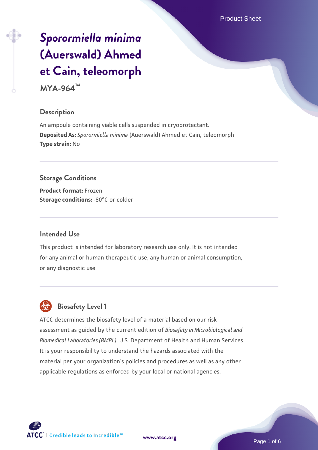# *[Sporormiella minima](https://www.atcc.org/products/mya-964)* **[\(Auerswald\) Ahmed](https://www.atcc.org/products/mya-964) [et Cain, teleomorph](https://www.atcc.org/products/mya-964)**

**MYA-964™**

### **Description**

An ampoule containing viable cells suspended in cryoprotectant. **Deposited As:** *Sporormiella minima* (Auerswald) Ahmed et Cain, teleomorph **Type strain:** No

**Storage Conditions Product format:** Frozen **Storage conditions: -80°C or colder** 

#### **Intended Use**

This product is intended for laboratory research use only. It is not intended for any animal or human therapeutic use, any human or animal consumption, or any diagnostic use.

# **Biosafety Level 1**

ATCC determines the biosafety level of a material based on our risk assessment as guided by the current edition of *Biosafety in Microbiological and Biomedical Laboratories (BMBL)*, U.S. Department of Health and Human Services. It is your responsibility to understand the hazards associated with the material per your organization's policies and procedures as well as any other applicable regulations as enforced by your local or national agencies.



**[www.atcc.org](http://www.atcc.org)**

Page 1 of 6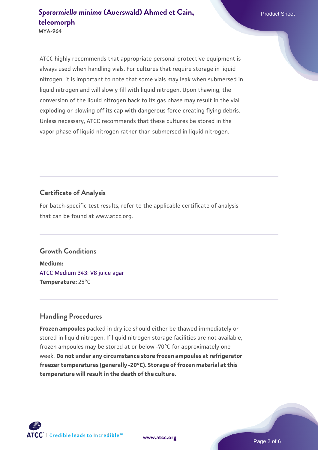**MYA-964**

ATCC highly recommends that appropriate personal protective equipment is always used when handling vials. For cultures that require storage in liquid nitrogen, it is important to note that some vials may leak when submersed in liquid nitrogen and will slowly fill with liquid nitrogen. Upon thawing, the conversion of the liquid nitrogen back to its gas phase may result in the vial exploding or blowing off its cap with dangerous force creating flying debris. Unless necessary, ATCC recommends that these cultures be stored in the vapor phase of liquid nitrogen rather than submersed in liquid nitrogen.

## **Certificate of Analysis**

For batch-specific test results, refer to the applicable certificate of analysis that can be found at www.atcc.org.

#### **Growth Conditions**

**Medium:**  [ATCC Medium 343: V8 juice agar](https://www.atcc.org/-/media/product-assets/documents/microbial-media-formulations/3/4/3/atcc-medium-0343.pdf?rev=fbf48fa24e664932828269db1822ab12) **Temperature:** 25°C

## **Handling Procedures**

**Frozen ampoules** packed in dry ice should either be thawed immediately or stored in liquid nitrogen. If liquid nitrogen storage facilities are not available, frozen ampoules may be stored at or below -70°C for approximately one week. **Do not under any circumstance store frozen ampoules at refrigerator freezer temperatures (generally -20°C). Storage of frozen material at this temperature will result in the death of the culture.**

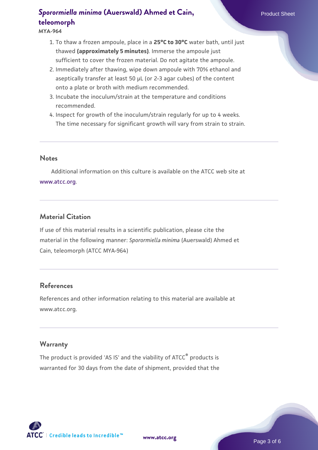**MYA-964**

- 1. To thaw a frozen ampoule, place in a **25°C to 30°C** water bath, until just thawed **(approximately 5 minutes)**. Immerse the ampoule just sufficient to cover the frozen material. Do not agitate the ampoule.
- 2. Immediately after thawing, wipe down ampoule with 70% ethanol and aseptically transfer at least 50 µL (or 2-3 agar cubes) of the content onto a plate or broth with medium recommended.
- 3. Incubate the inoculum/strain at the temperature and conditions recommended.
- 4. Inspect for growth of the inoculum/strain regularly for up to 4 weeks. The time necessary for significant growth will vary from strain to strain.

#### **Notes**

 Additional information on this culture is available on the ATCC web site at [www.atcc.org.](http://www.atcc.org/)

## **Material Citation**

If use of this material results in a scientific publication, please cite the material in the following manner: *Sporormiella minima* (Auerswald) Ahmed et Cain, teleomorph (ATCC MYA-964)

## **References**

References and other information relating to this material are available at www.atcc.org.

#### **Warranty**

The product is provided 'AS IS' and the viability of ATCC<sup>®</sup> products is warranted for 30 days from the date of shipment, provided that the

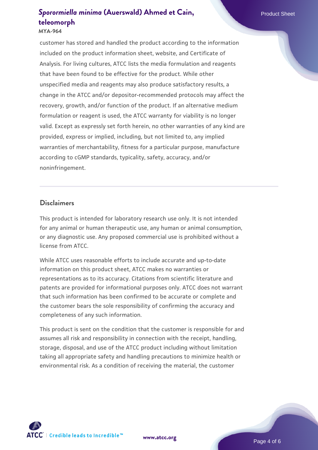#### **MYA-964**

customer has stored and handled the product according to the information included on the product information sheet, website, and Certificate of Analysis. For living cultures, ATCC lists the media formulation and reagents that have been found to be effective for the product. While other unspecified media and reagents may also produce satisfactory results, a change in the ATCC and/or depositor-recommended protocols may affect the recovery, growth, and/or function of the product. If an alternative medium formulation or reagent is used, the ATCC warranty for viability is no longer valid. Except as expressly set forth herein, no other warranties of any kind are provided, express or implied, including, but not limited to, any implied warranties of merchantability, fitness for a particular purpose, manufacture according to cGMP standards, typicality, safety, accuracy, and/or noninfringement.

#### **Disclaimers**

This product is intended for laboratory research use only. It is not intended for any animal or human therapeutic use, any human or animal consumption, or any diagnostic use. Any proposed commercial use is prohibited without a license from ATCC.

While ATCC uses reasonable efforts to include accurate and up-to-date information on this product sheet, ATCC makes no warranties or representations as to its accuracy. Citations from scientific literature and patents are provided for informational purposes only. ATCC does not warrant that such information has been confirmed to be accurate or complete and the customer bears the sole responsibility of confirming the accuracy and completeness of any such information.

This product is sent on the condition that the customer is responsible for and assumes all risk and responsibility in connection with the receipt, handling, storage, disposal, and use of the ATCC product including without limitation taking all appropriate safety and handling precautions to minimize health or environmental risk. As a condition of receiving the material, the customer



**[www.atcc.org](http://www.atcc.org)**

Page 4 of 6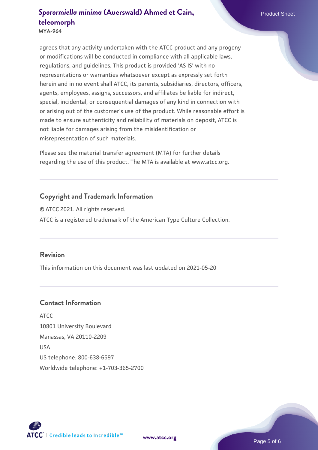**MYA-964**

agrees that any activity undertaken with the ATCC product and any progeny or modifications will be conducted in compliance with all applicable laws, regulations, and guidelines. This product is provided 'AS IS' with no representations or warranties whatsoever except as expressly set forth herein and in no event shall ATCC, its parents, subsidiaries, directors, officers, agents, employees, assigns, successors, and affiliates be liable for indirect, special, incidental, or consequential damages of any kind in connection with or arising out of the customer's use of the product. While reasonable effort is made to ensure authenticity and reliability of materials on deposit, ATCC is not liable for damages arising from the misidentification or misrepresentation of such materials.

Please see the material transfer agreement (MTA) for further details regarding the use of this product. The MTA is available at www.atcc.org.

## **Copyright and Trademark Information**

© ATCC 2021. All rights reserved. ATCC is a registered trademark of the American Type Culture Collection.

#### **Revision**

This information on this document was last updated on 2021-05-20

### **Contact Information**

ATCC 10801 University Boulevard Manassas, VA 20110-2209 USA US telephone: 800-638-6597 Worldwide telephone: +1-703-365-2700